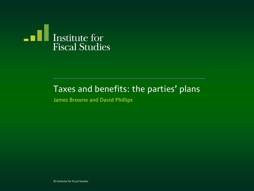

#### Taxes and benefits: the parties' plans

James Browne and David Phillips

© Institute for Fiscal Studies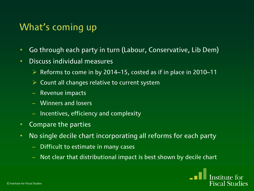# What's coming up

- Go through each party in turn (Labour, Conservative, Lib Dem)
- Discuss individual measures
	- $\triangleright$  Reforms to come in by 2014–15, costed as if in place in 2010–11
	- $\triangleright$  Count all changes relative to current system
	- Revenue impacts
	- Winners and losers
	- Incentives, efficiency and complexity
- Compare the parties
- No single decile chart incorporating all reforms for each party
	- Difficult to estimate in many cases
	- Not clear that distributional impact is best shown by decile chart

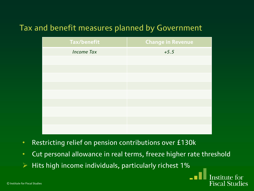| <b>Tax/benefit</b> | <b>Change in Revenue</b> |
|--------------------|--------------------------|
| <b>Income Tax</b>  | $+5.5$                   |
|                    |                          |
|                    |                          |
|                    |                          |
|                    |                          |
|                    |                          |
|                    |                          |
|                    |                          |
|                    |                          |
|                    |                          |

- Restricting relief on pension contributions over £130k
- Cut personal allowance in real terms, freeze higher rate threshold

Institute for **Fiscal Studies** 

 $\triangleright$  Hits high income individuals, particularly richest 1%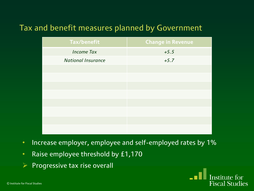| <b>Tax/benefit</b>        | <b>Change in Revenue</b> |
|---------------------------|--------------------------|
| <b>Income Tax</b>         | $+5.5$                   |
| <b>National Insurance</b> | $+5.7$                   |
|                           |                          |
|                           |                          |
|                           |                          |
|                           |                          |
|                           |                          |
|                           |                          |
|                           |                          |
|                           |                          |

- Increase employer, employee and self-employed rates by 1%
- Raise employee threshold by £1,170
- $\triangleright$  Progressive tax rise overall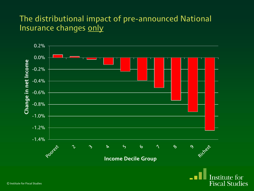#### The distributional impact of pre-announced National Insurance changes only



**Institute for Fiscal Studies**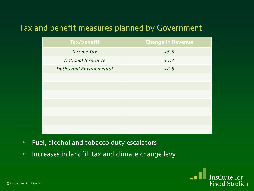| <b>Tax/benefit</b>              | <b>Change in Revenue</b> |
|---------------------------------|--------------------------|
| <b>Income Tax</b>               | $+5.5$                   |
| <b>National Insurance</b>       | $+5.7$                   |
| <b>Duties and Environmental</b> | $+2.8$                   |
|                                 |                          |
|                                 |                          |
|                                 |                          |
|                                 |                          |
|                                 |                          |
|                                 |                          |
|                                 |                          |

- Fuel, alcohol and tobacco duty escalators
- Increases in landfill tax and climate change levy

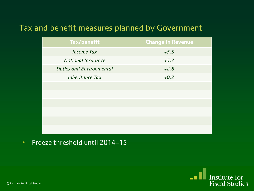| <b>Tax/benefit</b>              | <b>Change in Revenue</b> |
|---------------------------------|--------------------------|
| <b>Income Tax</b>               | $+5.5$                   |
| <b>National Insurance</b>       | $+5.7$                   |
| <b>Duties and Environmental</b> | $+2.8$                   |
| <b>Inheritance Tax</b>          | $+0.2$                   |
|                                 |                          |
|                                 |                          |
|                                 |                          |
|                                 |                          |
|                                 |                          |
|                                 |                          |

• Freeze threshold until 2014–15

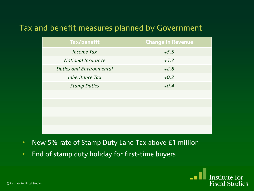| <b>Tax/benefit</b>              | <b>Change in Revenue</b> |
|---------------------------------|--------------------------|
| <b>Income Tax</b>               | $+5.5$                   |
| <b>National Insurance</b>       | $+5.7$                   |
| <b>Duties and Environmental</b> | $+2.8$                   |
| <b>Inheritance Tax</b>          | $+0.2$                   |
| <b>Stamp Duties</b>             | $+0.4$                   |
|                                 |                          |
|                                 |                          |
|                                 |                          |
|                                 |                          |
|                                 |                          |

- New 5% rate of Stamp Duty Land Tax above £1 million
- End of stamp duty holiday for first-time buyers

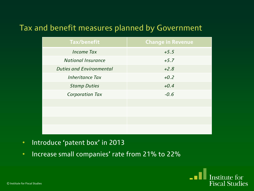| <b>Tax/benefit</b>              | <b>Change in Revenue</b> |
|---------------------------------|--------------------------|
| <b>Income Tax</b>               | $+5.5$                   |
| <b>National Insurance</b>       | $+5.7$                   |
| <b>Duties and Environmental</b> | $+2.8$                   |
| <b>Inheritance Tax</b>          | $+0.2$                   |
| <b>Stamp Duties</b>             | $+0.4$                   |
| <b>Corporation Tax</b>          | $-0.6$                   |
|                                 |                          |
|                                 |                          |
|                                 |                          |
|                                 |                          |

- Introduce 'patent box' in 2013
- Increase small companies' rate from 21% to 22%

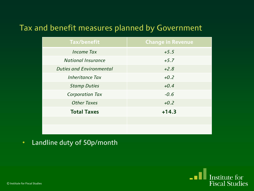| <b>Tax/benefit</b>              | <b>Change in Revenue</b> |
|---------------------------------|--------------------------|
| <b>Income Tax</b>               | $+5.5$                   |
| <b>National Insurance</b>       | $+5.7$                   |
| <b>Duties and Environmental</b> | $+2.8$                   |
| <b>Inheritance Tax</b>          | $+0.2$                   |
| <b>Stamp Duties</b>             | $+0.4$                   |
| <b>Corporation Tax</b>          | $-0.6$                   |
| <b>Other Taxes</b>              | $+0.2$                   |
| <b>Total Taxes</b>              | $+14.3$                  |
|                                 |                          |
|                                 |                          |

• Landline duty of 50p/month

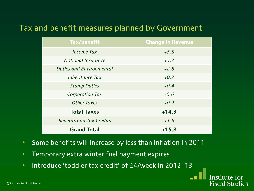| <b>Tax/benefit</b>              | <b>Change in Revenue</b> |
|---------------------------------|--------------------------|
| <i>Income Tax</i>               | $+5.5$                   |
| <b>National Insurance</b>       | $+5.7$                   |
| <b>Duties and Environmental</b> | $+2.8$                   |
| <b>Inheritance Tax</b>          | $+0.2$                   |
| <b>Stamp Duties</b>             | $+0.4$                   |
| <b>Corporation Tax</b>          | $-0.6$                   |
| <b>Other Taxes</b>              | $+0.2$                   |
| <b>Total Taxes</b>              | $+14.3$                  |
| <b>Benefits and Tax Credits</b> | $+1.5$                   |
| <b>Grand Total</b>              | $+15.8$                  |

**Institute for Fiscal Studies** 

- Some benefits will increase by less than inflation in 2011
- Temporary extra winter fuel payment expires
- Introduce 'toddler tax credit' of £4/week in 2012–13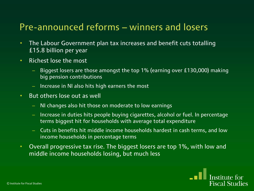# Pre-announced reforms – winners and losers

- The Labour Government plan tax increases and benefit cuts totalling £15.8 billion per year
- Richest lose the most
	- Biggest losers are those amongst the top 1% (earning over £130,000) making big pension contributions
	- Increase in NI also hits high earners the most
- But others lose out as well
	- NI changes also hit those on moderate to low earnings
	- Increase in duties hits people buying cigarettes, alcohol or fuel. In percentage terms biggest hit for households with average total expenditure
	- Cuts in benefits hit middle income households hardest in cash terms, and low income households in percentage terms
- Overall progressive tax rise. The biggest losers are top 1%, with low and middle income households losing, but much less

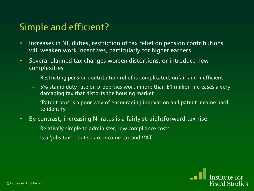## Simple and efficient?

- Increases in NI, duties, restriction of tax relief on pension contributions will weaken work incentives, particularly for higher earners
- Several planned tax changes worsen distortions, or introduce new complexities
	- Restricting pension contribution relief is complicated, unfair and inefficient
	- 5% stamp duty rate on properties worth more than £1 million increases a very damaging tax that distorts the housing market
	- 'Patent box' is a poor way of encouraging innovation and patent income hard to identify
- By contrast, increasing NI rates is a fairly straightforward tax rise
	- Relatively simple to administer, low compliance costs
	- $-$  Is a 'jobs tax' but so are income tax and VAT

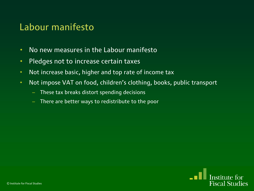### Labour manifesto

- No new measures in the Labour manifesto
- Pledges not to increase certain taxes
- Not increase basic, higher and top rate of income tax
- Not impose VAT on food, children's clothing, books, public transport
	- These tax breaks distort spending decisions
	- There are better ways to redistribute to the poor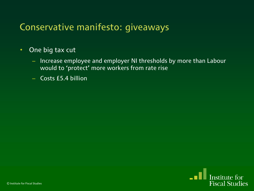# Conservative manifesto: giveaways

#### • One big tax cut

- Increase employee and employer NI thresholds by more than Labour would to 'protect' more workers from rate rise
- Costs £5.4 billion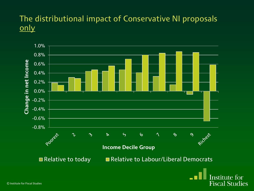#### The distributional impact of Conservative NI proposals only

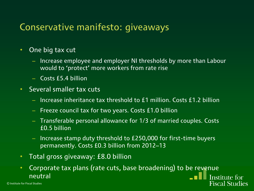# Conservative manifesto: giveaways

#### • One big tax cut

- Increase employee and employer NI thresholds by more than Labour would to 'protect' more workers from rate rise
- Costs £5.4 billion
- Several smaller tax cuts
	- Increase inheritance tax threshold to £1 million. Costs £1.2 billion
	- Freeze council tax for two years. Costs £1.0 billion
	- Transferable personal allowance for 1/3 of married couples. Costs £0.5 billion
	- Increase stamp duty threshold to £250,000 for first-time buyers permanently. Costs £0.3 billion from 2012–13
- Total gross giveaway: £8.0 billion
- Corporate tax plans (rate cuts, base broadening) to be revenue neutral **Institute for**

**Fiscal Studies**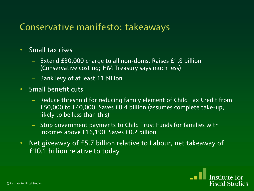## Conservative manifesto: takeaways

- Small tax rises
	- Extend £30,000 charge to all non-doms. Raises £1.8 billion (Conservative costing; HM Treasury says much less)
	- Bank levy of at least £1 billion
- Small benefit cuts
	- Reduce threshold for reducing family element of Child Tax Credit from £50,000 to £40,000. Saves £0.4 billion (assumes complete take-up, likely to be less than this)
	- Stop government payments to Child Trust Funds for families with incomes above £16,190. Saves £0.2 billion
- Net giveaway of £5.7 billion relative to Labour, net takeaway of £10.1 billion relative to today

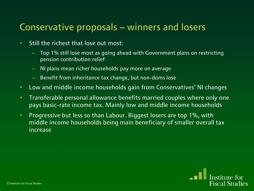# Conservative proposals – winners and losers

- Still the richest that lose out most:
	- Top 1% still lose most as going ahead with Government plans on restricting pension contribution relief
	- NI plans mean richer households pay more on average
	- Benefit from inheritance tax change, but non-doms lose
- Low and middle income households gain from Conservatives' NI changes
- Transferable personal allowance benefits married couples where only one pays basic-rate income tax. Mainly low and middle income households
- Progressive but less so than Labour. Biggest losers are top 1%, with middle income households being main beneficiary of smaller overall tax increase

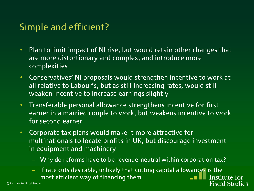### Simple and efficient?

- Plan to limit impact of NI rise, but would retain other changes that are more distortionary and complex, and introduce more complexities
- Conservatives' NI proposals would strengthen incentive to work at all relative to Labour's, but as still increasing rates, would still weaken incentive to increase earnings slightly
- Transferable personal allowance strengthens incentive for first earner in a married couple to work, but weakens incentive to work for second earner
- Corporate tax plans would make it more attractive for multinationals to locate profits in UK, but discourage investment in equipment and machinery
	- Why do reforms have to be revenue-neutral within corporation tax?
	- If rate cuts desirable, unlikely that cutting capital allowances is the most efficient way of financing them -- 11 Institute for **Fiscal Studies**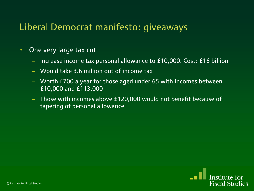# Liberal Democrat manifesto: giveaways

- One very large tax cut
	- Increase income tax personal allowance to £10,000. Cost: £16 billion
	- Would take 3.6 million out of income tax
	- Worth £700 a year for those aged under 65 with incomes between £10,000 and £113,000
	- Those with incomes above £120,000 would not benefit because of tapering of personal allowance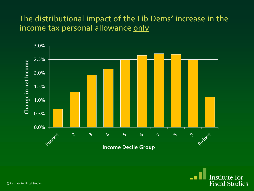#### The distributional impact of the Lib Dems' increase in the income tax personal allowance only



**Institute for Fiscal Studies**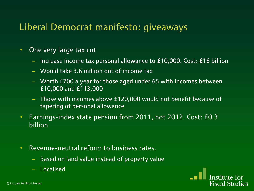# Liberal Democrat manifesto: giveaways

- One very large tax cut
	- Increase income tax personal allowance to £10,000. Cost: £16 billion
	- Would take 3.6 million out of income tax
	- Worth £700 a year for those aged under 65 with incomes between £10,000 and £113,000
	- Those with incomes above £120,000 would not benefit because of tapering of personal allowance
- Earnings-index state pension from 2011, not 2012. Cost: £0.3 billion
- Revenue-neutral reform to business rates.
	- Based on land value instead of property value
	- Localised

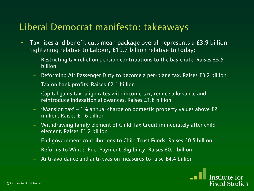## Liberal Democrat manifesto: takeaways

- Tax rises and benefit cuts mean package overall represents a £3.9 billion tightening relative to Labour, £19.7 billion relative to today:
	- Restricting tax relief on pension contributions to the basic rate. Raises £5.5 billion
	- Reforming Air Passenger Duty to become a per-plane tax. Raises £3.2 billion
	- Tax on bank profits. Raises £2.1 billion
	- Capital gains tax: align rates with income tax, reduce allowance and reintroduce indexation allowances. Raises £1.8 billion
	- 'Mansion tax' 1% annual charge on domestic property values above £2 million. Raises £1.6 billion
	- Withdrawing family element of Child Tax Credit immediately after child element. Raises £1.2 billion
	- End government contributions to Child Trust Funds. Raises £0.5 billion
	- Reforms to Winter Fuel Payment eligibility. Raises £0.1 billion
	- Anti-avoidance and anti-evasion measures to raise £4.4 billion

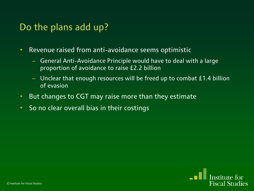### Do the plans add up?

- Revenue raised from anti-avoidance seems optimistic
	- General Anti-Avoidance Principle would have to deal with a large proportion of avoidance to raise £2.2 billion
	- Unclear that enough resources will be freed up to combat £1.4 billion of evasion
- But changes to CGT may raise more than they estimate
- So no clear overall bias in their costings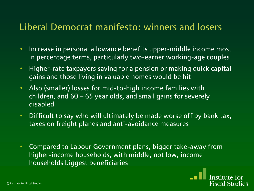### Liberal Democrat manifesto: winners and losers

- Increase in personal allowance benefits upper-middle income most in percentage terms, particularly two-earner working-age couples
- Higher-rate taxpayers saving for a pension or making quick capital gains and those living in valuable homes would be hit
- Also (smaller) losses for mid-to-high income families with children, and 60 – 65 year olds, and small gains for severely disabled
- Difficult to say who will ultimately be made worse off by bank tax, taxes on freight planes and anti-avoidance measures
- Compared to Labour Government plans, bigger take-away from higher-income households, with middle, not low, income households biggest beneficiaries

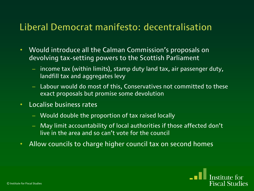# Liberal Democrat manifesto: decentralisation

- Would introduce all the Calman Commission's proposals on devolving tax-setting powers to the Scottish Parliament
	- income tax (within limits), stamp duty land tax, air passenger duty, landfill tax and aggregates levy
	- Labour would do most of this, Conservatives not committed to these exact proposals but promise some devolution
- Localise business rates
	- Would double the proportion of tax raised locally
	- May limit accountability of local authorities if those affected don't live in the area and so can't vote for the council
- Allow councils to charge higher council tax on second homes

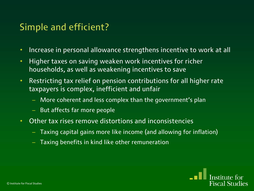### Simple and efficient?

- Increase in personal allowance strengthens incentive to work at all
- Higher taxes on saving weaken work incentives for richer households, as well as weakening incentives to save
- Restricting tax relief on pension contributions for all higher rate taxpayers is complex, inefficient and unfair
	- More coherent and less complex than the government's plan
	- But affects far more people
- Other tax rises remove distortions and inconsistencies
	- Taxing capital gains more like income (and allowing for inflation)
	- Taxing benefits in kind like other remuneration

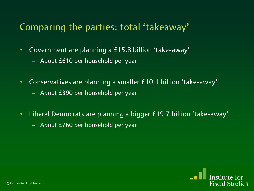# Comparing the parties: total 'takeaway'

- Government are planning a £15.8 billion 'take-away'
	- About £610 per household per year
- Conservatives are planning a smaller £10.1 billion 'take-away'
	- About £390 per household per year
- Liberal Democrats are planning a bigger £19.7 billion 'take-away'
	- About £760 per household per year

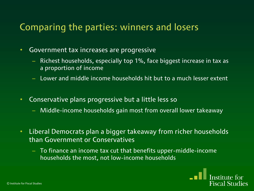## Comparing the parties: winners and losers

- Government tax increases are progressive
	- Richest households, especially top 1%, face biggest increase in tax as a proportion of income
	- Lower and middle income households hit but to a much lesser extent
- Conservative plans progressive but a little less so
	- Middle-income households gain most from overall lower takeaway
- Liberal Democrats plan a bigger takeaway from richer households than Government or Conservatives
	- To finance an income tax cut that benefits upper-middle-income households the most, not low-income households

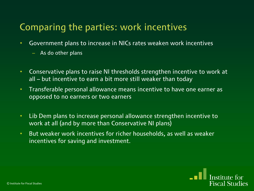# Comparing the parties: work incentives

- Government plans to increase in NICs rates weaken work incentives
	- As do other plans
- Conservative plans to raise NI thresholds strengthen incentive to work at all – but incentive to earn a bit more still weaker than today
- Transferable personal allowance means incentive to have one earner as opposed to no earners or two earners
- Lib Dem plans to increase personal allowance strengthen incentive to work at all (and by more than Conservative NI plans)
- But weaker work incentives for richer households, as well as weaker incentives for saving and investment.

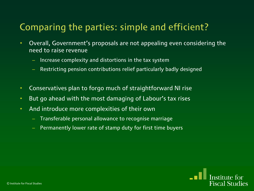# Comparing the parties: simple and efficient?

- Overall, Government's proposals are not appealing even considering the need to raise revenue
	- Increase complexity and distortions in the tax system
	- Restricting pension contributions relief particularly badly designed
- Conservatives plan to forgo much of straightforward NI rise
- But go ahead with the most damaging of Labour's tax rises
- And introduce more complexities of their own
	- Transferable personal allowance to recognise marriage
	- Permanently lower rate of stamp duty for first time buyers